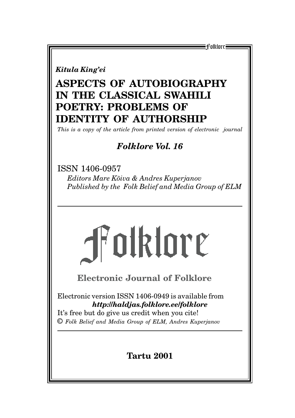E-1folklore <del>:</del>

*Kitula King'ei*

# **ASPECTS OF AUTOBIOGRAPHY IN THE CLASSICAL SWAHILI POETRY: PROBLEMS OF IDENTITY OF AUTHORSHIP**

*This is a copy of the article from printed version of electronic journal*

## *Folklore Vol. 16*

ISSN 1406-0957 *Editors Mare Kõiva & Andres Kuperjanov Published by the Folk Belief and Media Group of ELM*



**Electronic Journal of Folklore**

Electronic version ISSN 1406-0949 is available from *http://haldjas.folklore.ee/folklore*

It's free but do give us credit when you cite! © *Folk Belief and Media Group of ELM, Andres Kuperjanov*

## **Tartu 2001**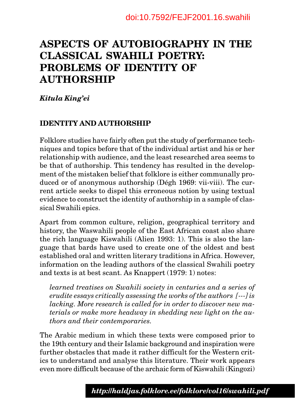# **ASPECTS OF AUTOBIOGRAPHY IN THE CLASSICAL SWAHILI POETRY: PROBLEMS OF IDENTITY OF AUTHORSHIP**

*Kitula King'ei*

### **IDENTITY AND AUTHORSHIP**

Folklore studies have fairly often put the study of performance techniques and topics before that of the individual artist and his or her relationship with audience, and the least researched area seems to be that of authorship. This tendency has resulted in the development of the mistaken belief that folklore is either communally produced or of anonymous authorship (Dégh 1969: vii-viii). The current article seeks to dispel this erroneous notion by using textual evidence to construct the identity of authorship in a sample of classical Swahili epics.

Apart from common culture, religion, geographical territory and history, the Waswahili people of the East African coast also share the rich language Kiswahili (Alien 1993: 1). This is also the language that bards have used to create one of the oldest and best established oral and written literary traditions in Africa. However, information on the leading authors of the classical Swahili poetry and texts is at best scant. As Knappert (1979: 1) notes:

*learned treatises on Swahili society in centuries and a series of erudite essays critically assessing the works of the authors [---] is lacking. More research is called for in order to discover new materials or make more headway in shedding new light on the authors and their contemporaries.*

The Arabic medium in which these texts were composed prior to the 19th century and their Islamic background and inspiration were further obstacles that made it rather difficult for the Western critics to understand and analyse this literature. Their work appears even more difficult because of the archaic form of Kiswahili (Kingozi)

87 *http://haldjas.folklore.ee/folklore/vol16/swahili.pdf*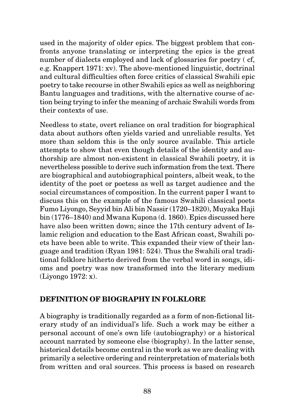used in the majority of older epics. The biggest problem that confronts anyone translating or interpreting the epics is the great number of dialects employed and lack of glossaries for poetry ( cf, e.g. Knappert 1971: xv). The above-mentioned linguistic, doctrinal and cultural difficulties often force critics of classical Swahili epic poetry to take recourse in other Swahili epics as well as neighboring Bantu languages and traditions, with the alternative course of action being trying to infer the meaning of archaic Swahili words from their contexts of use.

Needless to state, overt reliance on oral tradition for biographical data about authors often yields varied and unreliable results. Yet more than seldom this is the only source available. This article attempts to show that even though details of the identity and authorship are almost non-existent in classical Swahili poetry, it is nevertheless possible to derive such information from the text. There are biographical and autobiographical pointers, albeit weak, to the identity of the poet or poetess as well as target audience and the social circumstances of composition. In the current paper I want to discuss this on the example of the famous Swahili classical poets Fumo Liyongo, Seyyid bin Ali bin Nassir (1720–1820), Muyaka Haji bin (1776–1840) and Mwana Kupona (d. 1860). Epics discussed here have also been written down; since the 17th century advent of Islamic religion and education to the East African coast, Swahili poets have been able to write. This expanded their view of their language and tradition (Ryan 1981: 524). Thus the Swahili oral traditional folklore hitherto derived from the verbal word in songs, idioms and poetry was now transformed into the literary medium (Liyongo 1972: x).

### **DEFINITION OF BIOGRAPHY IN FOLKLORE**

A biography is traditionally regarded as a form of non-fictional literary study of an individual's life. Such a work may be either a personal account of one's own life (autobiography) or a historical account narrated by someone else (biography). In the latter sense, historical details become central in the work as we are dealing with primarily a selective ordering and reinterpretation of materials both from written and oral sources. This process is based on research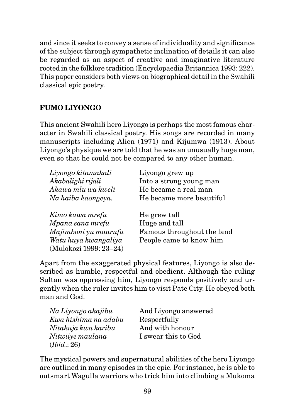and since it seeks to convey a sense of individuality and significance of the subject through sympathetic inclination of details it can also be regarded as an aspect of creative and imaginative literature rooted in the folklore tradition (Encyclopaedia Britannica 1993: 222). This paper considers both views on biographical detail in the Swahili classical epic poetry.

## **FUMO LIYONGO**

This ancient Swahili hero Liyongo is perhaps the most famous character in Swahili classical poetry. His songs are recorded in many manuscripts including Alien (1971) and Kijumwa (1913). About Liyongo's physique we are told that he was an unusually huge man, even so that he could not be compared to any other human.

| Liyongo kitamakali   | Liyongo grew up            |
|----------------------|----------------------------|
| Akabalighi rijali    | Into a strong young man    |
| Akawa mlu wa kweli   | He became a real man       |
| Na haiba kaongeya.   | He became more beautiful   |
| Kimo kawa mrefu      | He grew tall               |
| Mpana sana mrefu     |                            |
|                      | Huge and tall              |
| Majimboni yu maarufu | Famous throughout the land |
| Watu huya kwangaliya | People came to know him    |

Apart from the exaggerated physical features, Liyongo is also described as humble, respectful and obedient. Although the ruling Sultan was oppressing him, Liyongo responds positively and urgently when the ruler invites him to visit Pate City. He obeyed both man and God.

| Na Liyongo akajibu   | And Liyongo answered |
|----------------------|----------------------|
| Kwa hishima na adabu | Respectfully         |
| Nitakuja kwa karibu  | And with honour      |
| Nitwiiye maulana     | I swear this to God  |
| (Ibid.: 26)          |                      |

The mystical powers and supernatural abilities of the hero Liyongo are outlined in many episodes in the epic. For instance, he is able to outsmart Wagulla warriors who trick him into climbing a Mukoma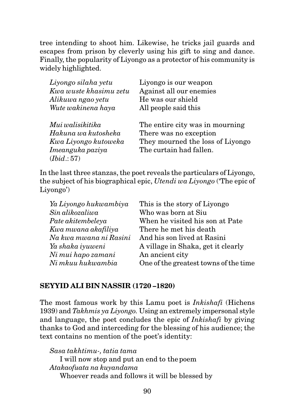tree intending to shoot him. Likewise, he tricks jail guards and escapes from prison by cleverly using his gift to sing and dance. Finally, the popularity of Liyongo as a protector of his community is widely highlighted.

| Liyongo silaha yetu    | Liyongo is our weapon            |
|------------------------|----------------------------------|
| Kwa wuste khasimu zetu | Against all our enemies          |
| Alikuwa ngao yetu      | He was our shield                |
| Wute wakinena haya     | All people said this             |
| Mui walisikitika       | The entire city was in mourning  |
| Hakuna wa kutosheka    | There was no exception           |
| Kwa Liyongo kutoweka   | They mourned the loss of Liyongo |
| Imeanguka paziya       | The curtain had fallen.          |
| (Ibid.:57)             |                                  |

In the last three stanzas, the poet reveals the particulars of Liyongo, the subject of his biographical epic, *Utendi wa Liyongo* ('The epic of Liyongo')

| This is the story of Liyongo          |
|---------------------------------------|
| Who was born at Siu                   |
| When he visited his son at Pate       |
| There he met his death                |
| And his son lived at Rasini           |
| A village in Shaka, get it clearly    |
| An ancient city                       |
| One of the greatest towns of the time |
|                                       |

## **SEYYID ALI BIN NASSIR (1720 –1820)**

The most famous work by this Lamu poet is *Inkishafi* (Hichens 1939) and *Takhmis ya Liyongo.* Using an extremely impersonal style and language, the poet concludes the epic of *Inkishafi* by giving thanks to God and interceding for the blessing of his audience; the text contains no mention of the poet's identity:

*Sasa takhtimu-, tatia tama* I will now stop and put an end to thepoem *Atakaofuata na kuyandama* Whoever reads and follows it will be blessed by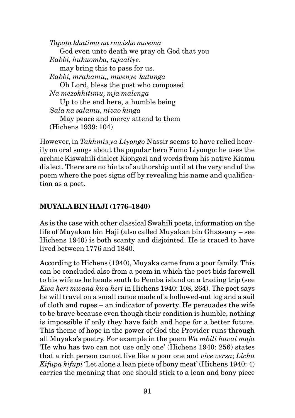*Tapata khatima na rnwisho mwema* God even unto death we pray oh God that you *Rabbi, hukuomba, tujaaliye*. may bring this to pass for us. *Rabbi, mrahamu,, mwenye kutunga* Oh Lord, bless the post who composed *Na mezokhitimu, mja malenga* Up to the end here, a humble being *Sala na salamu, nizao kinga* May peace and mercy attend to them (Hichens 1939: 104)

However, in *Takhmis ya Liyongo* Nassir seems to have relied heavily on oral songs about the popular hero Fumo Liyongo: he uses the archaic Kiswahili dialect Kiongozi and words from his native Kiamu dialect. There are no hints of authorship until at the very end of the poem where the poet signs off by revealing his name and qualification as a poet.

## **MUYALA BIN HAJI (1776–1840)**

As is the case with other classical Swahili poets, information on the life of Muyakan bin Haji (also called Muyakan bin Ghassany – see Hichens 1940) is both scanty and disjointed. He is traced to have lived between 1776 and 1840.

According to Hichens (1940), Muyaka came from a poor family. This can be concluded also from a poem in which the poet bids farewell to his wife as he heads south to Pemba island on a trading trip (see *Kwa heri mwana kwa heri* in Hichens 1940: 108, 264). The poet says he will travel on a small canoe made of a hollowed-out log and a sail of cloth and ropes – an indicator of poverty. He persuades the wife to be brave because even though their condition is humble, nothing is impossible if only they have faith and hope for a better future. This theme of hope in the power of God the Provider runs through all Muyaka's poetry. For example in the poem *Wa mbili havai moja* 'He who has two can not use only one' (Hichens 1940: 256) states that a rich person cannot live like a poor one and *vice versa*; *Licha Kifupa kifupi* 'Let alone a lean piece of bony meat' (Hichens 1940: 4) carries the meaning that one should stick to a lean and bony piece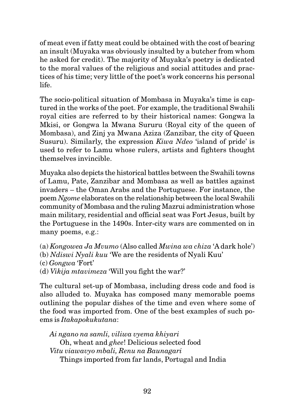of meat even if fatty meat could be obtained with the cost of bearing an insult (Muyaka was obviously insulted by a butcher from whom he asked for credit). The majority of Muyaka's poetry is dedicated to the moral values of the religious and social attitudes and practices of his time; very little of the poet's work concerns his personal life.

The socio-political situation of Mombasa in Muyaka's time is captured in the works of the poet. For example, the traditional Swahili royal cities are referred to by their historical names: Gongwa la Mkisi, or Gongwa la Mwana Sururu (Royal city of the queen of Mombasa), and Zinj ya Mwana Aziza (Zanzibar, the city of Queen Susuru). Similarly, the expression *Kiwa Ndeo* 'island of pride' is used to refer to Lamu whose rulers, artists and fighters thought themselves invincible.

Muyaka also depicts the historical battles between the Swahili towns of Lamu, Pate, Zanzibar and Mombasa as well as battles against invaders – the Oman Arabs and the Portuguese. For instance, the poem *Ngome* elaborates on the relationship between the local Swahili community of Mombasa and the ruling Mazrui administration whose main military, residential and official seat was Fort Jesus, built by the Portuguese in the 1490s. Inter-city wars are commented on in many poems, e.g.:

(a) *Kongowea Ja Mvumo* (Also called *Mwina wa chiza* 'A dark hole') (b) *Ndiswi Nyali kuu* 'We are the residents of Nyali Kuu' (c) *Gongwa* 'Fort' (d) *Vikija mtavimeza* 'Will you fight the war?'

The cultural set-up of Mombasa, including dress code and food is also alluded to. Muyaka has composed many memorable poems outlining the popular dishes of the time and even where some of the food was imported from. One of the best examples of such poems is *Itakapokukutana*:

*Ai ngano na samli, viliwa vyema khiyari* Oh, wheat and *ghee*! Delicious selected food *Vitu viawavyo mbali, Renu na Baunagari* Things imported from far lands, Portugal and India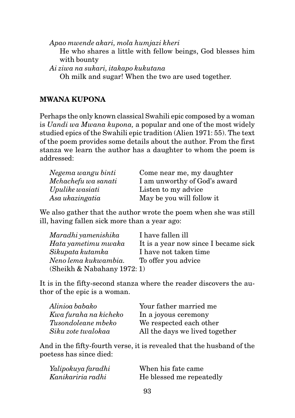*Apao mwende akari, mola humjazi kheri* He who shares a little with fellow beings, God blesses him with bounty

*Ai ziwa na sukari, itakapo kukutana*

Oh milk and sugar! When the two are used together.

### **MWANA KUPONA**

Perhaps the only known classical Swahili epic composed by a woman is *Uandi wa Mwana kupona,* a popular and one of the most widely studied epics of the Swahili epic tradition (Alien 1971: 55). The text of the poem provides some details about the author. From the first stanza we learn the author has a daughter to whom the poem is addressed:

| Negema wangu binti  | Come near me, my daughter    |
|---------------------|------------------------------|
| Mchachefu wa sanati | I am unworthy of God's award |
| Upulike wasiati     | Listen to my advice          |
| Asa ukazingatia     | May be you will follow it    |

We also gather that the author wrote the poem when she was still ill, having fallen sick more than a year ago:

| Maradhi yamenishika         | I have fallen ill                    |
|-----------------------------|--------------------------------------|
| Hata yametimu mwaka         | It is a year now since I became sick |
| Sikupata kutamka            | I have not taken time                |
| Neno lema kukwambia.        | To offer you advice                  |
| (Sheikh & Nabahany 1972: 1) |                                      |

It is in the fifty-second stanza where the reader discovers the author of the epic is a woman.

| Alinioa babako        | Your father married me         |
|-----------------------|--------------------------------|
| Kwa furaha na kicheko | In a joyous ceremony           |
| Tusondoleane mbeko    | We respected each other        |
| Siku zote twalokaa    | All the days we lived together |

And in the fifty-fourth verse, it is revealed that the husband of the poetess has since died:

| Yalipokuya faradhi | When his fate came       |
|--------------------|--------------------------|
| Kanikariria radhi  | He blessed me repeatedly |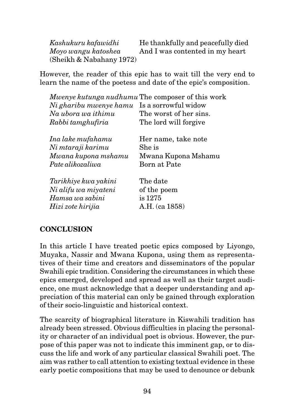*Kashukuru kafawidhi* He thankfully and peacefully died *Moyo wangu katoshea* And I was contented in my heart (Sheikh & Nabahany 1972)

However, the reader of this epic has to wait till the very end to learn the name of the poetess and date of the epic's composition.

|                        | Mwenye kutunga nudhumu The composer of this work |
|------------------------|--------------------------------------------------|
| Ni gharibu mwenye hamu | Is a sorrowful widow                             |
| Na ubora wa ithimu     | The worst of her sins.                           |
| Rabbi tamghufiria      | The lord will forgive                            |
| Ina lake mufahamu      | Her name, take note                              |
| Ni mtaraji karimu      | She is                                           |
| Mwana kupona mshamu    | Mwana Kupona Mshamu                              |
| Pate alikozaliwa       | Born at Pate                                     |
| Tarikhiye kwa yakini   | The date                                         |
| Ni alifu wa miyateni   | of the poem                                      |
| Hamsa wa sabini        | is 1275                                          |
| Hizi zote hirijia      | A.H. (ca 1858)                                   |
|                        |                                                  |

#### **CONCLUSION**

In this article I have treated poetic epics composed by Liyongo, Muyaka, Nassir and Mwana Kupona, using them as representatives of their time and creators and disseminators of the popular Swahili epic tradition. Considering the circumstances in which these epics emerged, developed and spread as well as their target audience, one must acknowledge that a deeper understanding and appreciation of this material can only be gained through exploration of their socio-linguistic and historical context.

The scarcity of biographical literature in Kiswahili tradition has already been stressed. Obvious difficulties in placing the personality or character of an individual poet is obvious. However, the purpose of this paper was not to indicate this imminent gap, or to discuss the life and work of any particular classical Swahili poet. The aim was rather to call attention to existing textual evidence in these early poetic compositions that may be used to denounce or debunk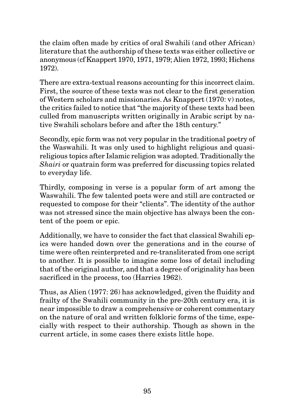the claim often made by critics of oral Swahili (and other African) literature that the authorship of these texts was either collective or anonymous (cf Knappert 1970, 1971, 1979; Alien 1972, 1993; Hichens 1972).

There are extra-textual reasons accounting for this incorrect claim. First, the source of these texts was not clear to the first generation of Western scholars and missionaries. As Knappert (1970: v) notes, the critics failed to notice that "the majority of these texts had been culled from manuscripts written originally in Arabic script by native Swahili scholars before and after the 18th century."

Secondly, epic form was not very popular in the traditional poetry of the Waswahili. It was only used to highlight religious and quasireligious topics after Islamic religion was adopted. Traditionally the *Shairi* or quatrain form was preferred for discussing topics related to everyday life.

Thirdly, composing in verse is a popular form of art among the Waswahili. The few talented poets were and still are contracted or requested to compose for their "clients". The identity of the author was not stressed since the main objective has always been the content of the poem or epic.

Additionally, we have to consider the fact that classical Swahili epics were handed down over the generations and in the course of time were often reinterpreted and re-transliterated from one script to another. It is possible to imagine some loss of detail including that of the original author, and that a degree of originality has been sacrificed in the process, too (Harries 1962).

Thus, as Alien (1977: 26) has acknowledged, given the fluidity and frailty of the Swahili community in the pre-20th century era, it is near impossible to draw a comprehensive or coherent commentary on the nature of oral and written folkloric forms of the time, especially with respect to their authorship. Though as shown in the current article, in some cases there exists little hope.